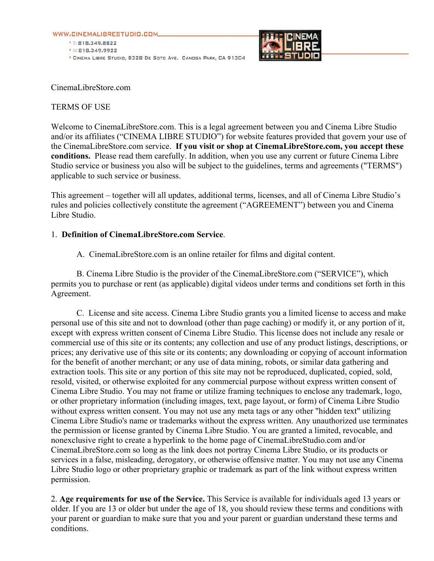



CinemaLibreStore.com

#### TERMS OF USE

Welcome to CinemaLibreStore.com. This is a legal agreement between you and Cinema Libre Studio and/or its affiliates ("CINEMA LIBRE STUDIO") for website features provided that govern your use of the CinemaLibreStore.com service. **If you visit or shop at CinemaLibreStore.com, you accept these conditions.** Please read them carefully. In addition, when you use any current or future Cinema Libre Studio service or business you also will be subject to the guidelines, terms and agreements ("TERMS") applicable to such service or business.

This agreement – together will all updates, additional terms, licenses, and all of Cinema Libre Studio's rules and policies collectively constitute the agreement ("AGREEMENT") between you and Cinema Libre Studio.

#### 1. **Definition of CinemaLibreStore.com Service**.

A. CinemaLibreStore.com is an online retailer for films and digital content.

B. Cinema Libre Studio is the provider of the CinemaLibreStore.com ("SERVICE"), which permits you to purchase or rent (as applicable) digital videos under terms and conditions set forth in this Agreement.

 C. License and site access. Cinema Libre Studio grants you a limited license to access and make personal use of this site and not to download (other than page caching) or modify it, or any portion of it, except with express written consent of Cinema Libre Studio. This license does not include any resale or commercial use of this site or its contents; any collection and use of any product listings, descriptions, or prices; any derivative use of this site or its contents; any downloading or copying of account information for the benefit of another merchant; or any use of data mining, robots, or similar data gathering and extraction tools. This site or any portion of this site may not be reproduced, duplicated, copied, sold, resold, visited, or otherwise exploited for any commercial purpose without express written consent of Cinema Libre Studio. You may not frame or utilize framing techniques to enclose any trademark, logo, or other proprietary information (including images, text, page layout, or form) of Cinema Libre Studio without express written consent. You may not use any meta tags or any other "hidden text" utilizing Cinema Libre Studio's name or trademarks without the express written. Any unauthorized use terminates the permission or license granted by Cinema Libre Studio. You are granted a limited, revocable, and nonexclusive right to create a hyperlink to the home page of CinemaLibreStudio.com and/or CinemaLibreStore.com so long as the link does not portray Cinema Libre Studio, or its products or services in a false, misleading, derogatory, or otherwise offensive matter. You may not use any Cinema Libre Studio logo or other proprietary graphic or trademark as part of the link without express written permission.

2. **Age requirements for use of the Service.** This Service is available for individuals aged 13 years or older. If you are 13 or older but under the age of 18, you should review these terms and conditions with your parent or guardian to make sure that you and your parent or guardian understand these terms and conditions.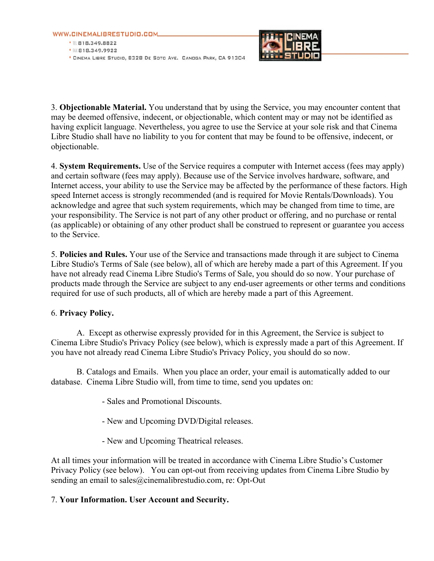



3. **Objectionable Material.** You understand that by using the Service, you may encounter content that may be deemed offensive, indecent, or objectionable, which content may or may not be identified as having explicit language. Nevertheless, you agree to use the Service at your sole risk and that Cinema Libre Studio shall have no liability to you for content that may be found to be offensive, indecent, or objectionable.

4. **System Requirements.** Use of the Service requires a computer with Internet access (fees may apply) and certain software (fees may apply). Because use of the Service involves hardware, software, and Internet access, your ability to use the Service may be affected by the performance of these factors. High speed Internet access is strongly recommended (and is required for Movie Rentals/Downloads). You acknowledge and agree that such system requirements, which may be changed from time to time, are your responsibility. The Service is not part of any other product or offering, and no purchase or rental (as applicable) or obtaining of any other product shall be construed to represent or guarantee you access to the Service.

5. **Policies and Rules.** Your use of the Service and transactions made through it are subject to Cinema Libre Studio's Terms of Sale (see below), all of which are hereby made a part of this Agreement. If you have not already read Cinema Libre Studio's Terms of Sale, you should do so now. Your purchase of products made through the Service are subject to any end-user agreements or other terms and conditions required for use of such products, all of which are hereby made a part of this Agreement.

## 6. **Privacy Policy.**

A.Except as otherwise expressly provided for in this Agreement, the Service is subject to Cinema Libre Studio's Privacy Policy (see below), which is expressly made a part of this Agreement. If you have not already read Cinema Libre Studio's Privacy Policy, you should do so now.

B. Catalogs and Emails. When you place an order, your email is automatically added to our database. Cinema Libre Studio will, from time to time, send you updates on:

- Sales and Promotional Discounts.
- New and Upcoming DVD/Digital releases.
- New and Upcoming Theatrical releases.

At all times your information will be treated in accordance with Cinema Libre Studio's Customer Privacy Policy (see below). You can opt-out from receiving updates from Cinema Libre Studio by sending an email to sales@cinemalibrestudio.com, re: Opt-Out

## 7. **Your Information. User Account and Security.**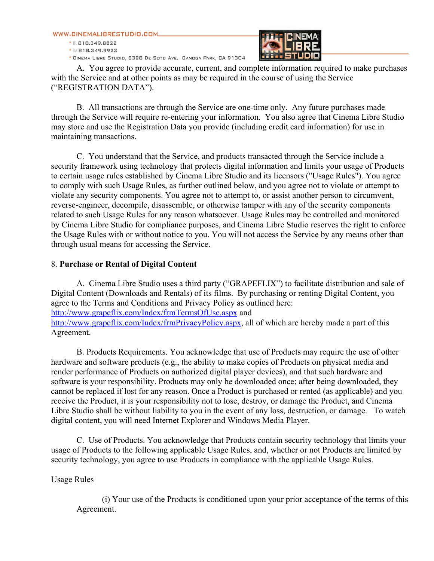

\* CINEMA LIBRE STUDIO, 8328 DE SOTO AVE. CANOGA PARK, CA 91304



A. You agree to provide accurate, current, and complete information required to make purchases with the Service and at other points as may be required in the course of using the Service ("REGISTRATION DATA").

B. All transactions are through the Service are one-time only. Any future purchases made through the Service will require re-entering your information. You also agree that Cinema Libre Studio may store and use the Registration Data you provide (including credit card information) for use in maintaining transactions.

C. You understand that the Service, and products transacted through the Service include a security framework using technology that protects digital information and limits your usage of Products to certain usage rules established by Cinema Libre Studio and its licensors ("Usage Rules"). You agree to comply with such Usage Rules, as further outlined below, and you agree not to violate or attempt to violate any security components. You agree not to attempt to, or assist another person to circumvent, reverse-engineer, decompile, disassemble, or otherwise tamper with any of the security components related to such Usage Rules for any reason whatsoever. Usage Rules may be controlled and monitored by Cinema Libre Studio for compliance purposes, and Cinema Libre Studio reserves the right to enforce the Usage Rules with or without notice to you. You will not access the Service by any means other than through usual means for accessing the Service.

## 8. **Purchase or Rental of Digital Content**

 A. Cinema Libre Studio uses a third party ("GRAPEFLIX") to facilitate distribution and sale of Digital Content (Downloads and Rentals) of its films. By purchasing or renting Digital Content, you agree to the Terms and Conditions and Privacy Policy as outlined here: http://www.grapeflix.com/Index/frmTermsOfUse.aspx and http://www.grapeflix.com/Index/frmPrivacyPolicy.aspx, all of which are hereby made a part of this Agreement.

B. Products Requirements. You acknowledge that use of Products may require the use of other hardware and software products (e.g., the ability to make copies of Products on physical media and render performance of Products on authorized digital player devices), and that such hardware and software is your responsibility. Products may only be downloaded once; after being downloaded, they cannot be replaced if lost for any reason. Once a Product is purchased or rented (as applicable) and you receive the Product, it is your responsibility not to lose, destroy, or damage the Product, and Cinema Libre Studio shall be without liability to you in the event of any loss, destruction, or damage. To watch digital content, you will need Internet Explorer and Windows Media Player.

C. Use of Products. You acknowledge that Products contain security technology that limits your usage of Products to the following applicable Usage Rules, and, whether or not Products are limited by security technology, you agree to use Products in compliance with the applicable Usage Rules.

Usage Rules

(i) Your use of the Products is conditioned upon your prior acceptance of the terms of this Agreement.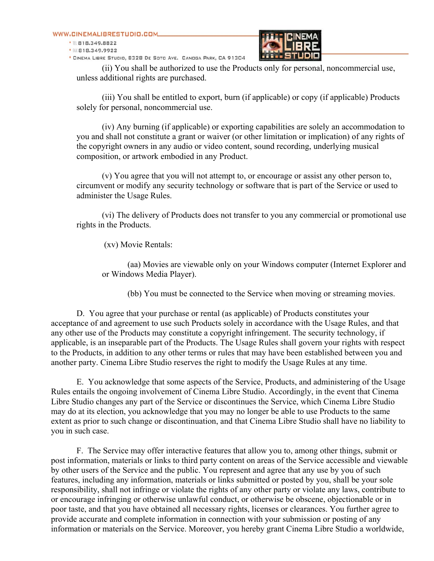· IL 818.349.8822 ● BX 818.349.9922

\* CINEMA LIBRE STUDIO, 8328 DE SOTO AVE. CANOGA PARK, CA 91304



(ii) You shall be authorized to use the Products only for personal, noncommercial use, unless additional rights are purchased.

(iii) You shall be entitled to export, burn (if applicable) or copy (if applicable) Products solely for personal, noncommercial use.

(iv) Any burning (if applicable) or exporting capabilities are solely an accommodation to you and shall not constitute a grant or waiver (or other limitation or implication) of any rights of the copyright owners in any audio or video content, sound recording, underlying musical composition, or artwork embodied in any Product.

(v) You agree that you will not attempt to, or encourage or assist any other person to, circumvent or modify any security technology or software that is part of the Service or used to administer the Usage Rules.

(vi) The delivery of Products does not transfer to you any commercial or promotional use rights in the Products.

(xv) Movie Rentals:

(aa) Movies are viewable only on your Windows computer (Internet Explorer and or Windows Media Player).

(bb) You must be connected to the Service when moving or streaming movies.

D. You agree that your purchase or rental (as applicable) of Products constitutes your acceptance of and agreement to use such Products solely in accordance with the Usage Rules, and that any other use of the Products may constitute a copyright infringement. The security technology, if applicable, is an inseparable part of the Products. The Usage Rules shall govern your rights with respect to the Products, in addition to any other terms or rules that may have been established between you and another party. Cinema Libre Studio reserves the right to modify the Usage Rules at any time.

E. You acknowledge that some aspects of the Service, Products, and administering of the Usage Rules entails the ongoing involvement of Cinema Libre Studio. Accordingly, in the event that Cinema Libre Studio changes any part of the Service or discontinues the Service, which Cinema Libre Studio may do at its election, you acknowledge that you may no longer be able to use Products to the same extent as prior to such change or discontinuation, and that Cinema Libre Studio shall have no liability to you in such case.

F. The Service may offer interactive features that allow you to, among other things, submit or post information, materials or links to third party content on areas of the Service accessible and viewable by other users of the Service and the public. You represent and agree that any use by you of such features, including any information, materials or links submitted or posted by you, shall be your sole responsibility, shall not infringe or violate the rights of any other party or violate any laws, contribute to or encourage infringing or otherwise unlawful conduct, or otherwise be obscene, objectionable or in poor taste, and that you have obtained all necessary rights, licenses or clearances. You further agree to provide accurate and complete information in connection with your submission or posting of any information or materials on the Service. Moreover, you hereby grant Cinema Libre Studio a worldwide,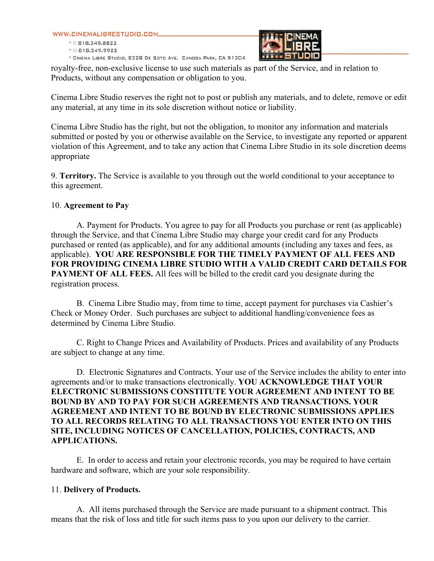● Ⅲ 818.349.8822 • 服818.349.9922 \* CINEMA LIBRE STUDIO, 8328 DE SOTO AVE. CANOGA PARK, CA 91304



royalty-free, non-exclusive license to use such materials as part of the Service, and in relation to Products, without any compensation or obligation to you.

Cinema Libre Studio reserves the right not to post or publish any materials, and to delete, remove or edit any material, at any time in its sole discretion without notice or liability.

Cinema Libre Studio has the right, but not the obligation, to monitor any information and materials submitted or posted by you or otherwise available on the Service, to investigate any reported or apparent violation of this Agreement, and to take any action that Cinema Libre Studio in its sole discretion deems appropriate

9. **Territory.** The Service is available to you through out the world conditional to your acceptance to this agreement.

# 10. **Agreement to Pay**

A. Payment for Products. You agree to pay for all Products you purchase or rent (as applicable) through the Service, and that Cinema Libre Studio may charge your credit card for any Products purchased or rented (as applicable), and for any additional amounts (including any taxes and fees, as applicable). **YOU ARE RESPONSIBLE FOR THE TIMELY PAYMENT OF ALL FEES AND FOR PROVIDING CINEMA LIBRE STUDIO WITH A VALID CREDIT CARD DETAILS FOR PAYMENT OF ALL FEES.** All fees will be billed to the credit card you designate during the registration process.

B. Cinema Libre Studio may, from time to time, accept payment for purchases via Cashier's Check or Money Order. Such purchases are subject to additional handling/convenience fees as determined by Cinema Libre Studio.

C. Right to Change Prices and Availability of Products. Prices and availability of any Products are subject to change at any time.

D. Electronic Signatures and Contracts. Your use of the Service includes the ability to enter into agreements and/or to make transactions electronically. **YOU ACKNOWLEDGE THAT YOUR ELECTRONIC SUBMISSIONS CONSTITUTE YOUR AGREEMENT AND INTENT TO BE BOUND BY AND TO PAY FOR SUCH AGREEMENTS AND TRANSACTIONS. YOUR AGREEMENT AND INTENT TO BE BOUND BY ELECTRONIC SUBMISSIONS APPLIES TO ALL RECORDS RELATING TO ALL TRANSACTIONS YOU ENTER INTO ON THIS SITE, INCLUDING NOTICES OF CANCELLATION, POLICIES, CONTRACTS, AND APPLICATIONS.**

E. In order to access and retain your electronic records, you may be required to have certain hardware and software, which are your sole responsibility.

## 11. **Delivery of Products.**

A. All items purchased through the Service are made pursuant to a shipment contract. This means that the risk of loss and title for such items pass to you upon our delivery to the carrier.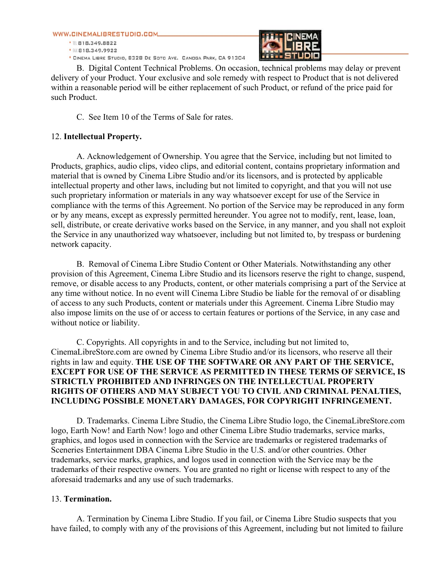● Ⅲ 818.349.8822 • 服818.349.9922 FF F F F

\* CINEMA LIBRE STUDIO, 8328 DE SOTO AVE. CANOGA PARK, CA 91304

B. Digital Content Technical Problems. On occasion, technical problems may delay or prevent delivery of your Product. Your exclusive and sole remedy with respect to Product that is not delivered within a reasonable period will be either replacement of such Product, or refund of the price paid for such Product.

C. See Item 10 of the Terms of Sale for rates.

# 12. **Intellectual Property.**

A. Acknowledgement of Ownership. You agree that the Service, including but not limited to Products, graphics, audio clips, video clips, and editorial content, contains proprietary information and material that is owned by Cinema Libre Studio and/or its licensors, and is protected by applicable intellectual property and other laws, including but not limited to copyright, and that you will not use such proprietary information or materials in any way whatsoever except for use of the Service in compliance with the terms of this Agreement. No portion of the Service may be reproduced in any form or by any means, except as expressly permitted hereunder. You agree not to modify, rent, lease, loan, sell, distribute, or create derivative works based on the Service, in any manner, and you shall not exploit the Service in any unauthorized way whatsoever, including but not limited to, by trespass or burdening network capacity.

B. Removal of Cinema Libre Studio Content or Other Materials. Notwithstanding any other provision of this Agreement, Cinema Libre Studio and its licensors reserve the right to change, suspend, remove, or disable access to any Products, content, or other materials comprising a part of the Service at any time without notice. In no event will Cinema Libre Studio be liable for the removal of or disabling of access to any such Products, content or materials under this Agreement. Cinema Libre Studio may also impose limits on the use of or access to certain features or portions of the Service, in any case and without notice or liability.

C. Copyrights. All copyrights in and to the Service, including but not limited to, CinemaLibreStore.com are owned by Cinema Libre Studio and/or its licensors, who reserve all their rights in law and equity. **THE USE OF THE SOFTWARE OR ANY PART OF THE SERVICE, EXCEPT FOR USE OF THE SERVICE AS PERMITTED IN THESE TERMS OF SERVICE, IS STRICTLY PROHIBITED AND INFRINGES ON THE INTELLECTUAL PROPERTY RIGHTS OF OTHERS AND MAY SUBJECT YOU TO CIVIL AND CRIMINAL PENALTIES, INCLUDING POSSIBLE MONETARY DAMAGES, FOR COPYRIGHT INFRINGEMENT.**

D. Trademarks. Cinema Libre Studio, the Cinema Libre Studio logo, the CinemaLibreStore.com logo, Earth Now! and Earth Now! logo and other Cinema Libre Studio trademarks, service marks, graphics, and logos used in connection with the Service are trademarks or registered trademarks of Sceneries Entertainment DBA Cinema Libre Studio in the U.S. and/or other countries. Other trademarks, service marks, graphics, and logos used in connection with the Service may be the trademarks of their respective owners. You are granted no right or license with respect to any of the aforesaid trademarks and any use of such trademarks.

## 13. **Termination.**

A. Termination by Cinema Libre Studio. If you fail, or Cinema Libre Studio suspects that you have failed, to comply with any of the provisions of this Agreement, including but not limited to failure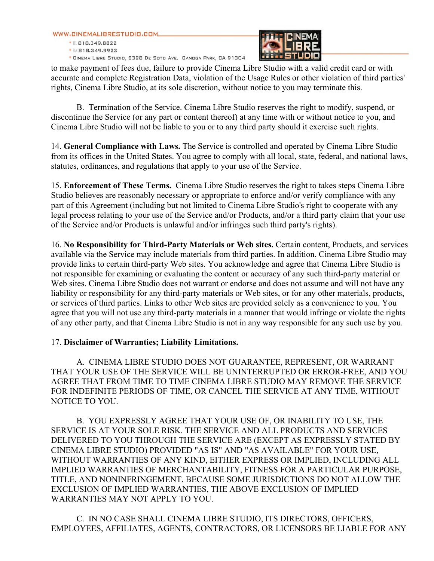● 图 818.349.8822 ● BX 818.349.9922

\* CINEMA LIBRE STUDIO, 8328 DE SOTO AVE. CANOGA PARK, CA 91304



to make payment of fees due, failure to provide Cinema Libre Studio with a valid credit card or with accurate and complete Registration Data, violation of the Usage Rules or other violation of third parties' rights, Cinema Libre Studio, at its sole discretion, without notice to you may terminate this.

B. Termination of the Service. Cinema Libre Studio reserves the right to modify, suspend, or discontinue the Service (or any part or content thereof) at any time with or without notice to you, and Cinema Libre Studio will not be liable to you or to any third party should it exercise such rights.

14. **General Compliance with Laws.** The Service is controlled and operated by Cinema Libre Studio from its offices in the United States. You agree to comply with all local, state, federal, and national laws, statutes, ordinances, and regulations that apply to your use of the Service.

15. **Enforcement of These Terms.** Cinema Libre Studio reserves the right to takes steps Cinema Libre Studio believes are reasonably necessary or appropriate to enforce and/or verify compliance with any part of this Agreement (including but not limited to Cinema Libre Studio's right to cooperate with any legal process relating to your use of the Service and/or Products, and/or a third party claim that your use of the Service and/or Products is unlawful and/or infringes such third party's rights).

16. **No Responsibility for Third-Party Materials or Web sites.** Certain content, Products, and services available via the Service may include materials from third parties. In addition, Cinema Libre Studio may provide links to certain third-party Web sites. You acknowledge and agree that Cinema Libre Studio is not responsible for examining or evaluating the content or accuracy of any such third-party material or Web sites. Cinema Libre Studio does not warrant or endorse and does not assume and will not have any liability or responsibility for any third-party materials or Web sites, or for any other materials, products, or services of third parties. Links to other Web sites are provided solely as a convenience to you. You agree that you will not use any third-party materials in a manner that would infringe or violate the rights of any other party, and that Cinema Libre Studio is not in any way responsible for any such use by you.

## 17. **Disclaimer of Warranties; Liability Limitations.**

A. CINEMA LIBRE STUDIO DOES NOT GUARANTEE, REPRESENT, OR WARRANT THAT YOUR USE OF THE SERVICE WILL BE UNINTERRUPTED OR ERROR-FREE, AND YOU AGREE THAT FROM TIME TO TIME CINEMA LIBRE STUDIO MAY REMOVE THE SERVICE FOR INDEFINITE PERIODS OF TIME, OR CANCEL THE SERVICE AT ANY TIME, WITHOUT NOTICE TO YOU.

B. YOU EXPRESSLY AGREE THAT YOUR USE OF, OR INABILITY TO USE, THE SERVICE IS AT YOUR SOLE RISK. THE SERVICE AND ALL PRODUCTS AND SERVICES DELIVERED TO YOU THROUGH THE SERVICE ARE (EXCEPT AS EXPRESSLY STATED BY CINEMA LIBRE STUDIO) PROVIDED "AS IS" AND "AS AVAILABLE" FOR YOUR USE, WITHOUT WARRANTIES OF ANY KIND, EITHER EXPRESS OR IMPLIED, INCLUDING ALL IMPLIED WARRANTIES OF MERCHANTABILITY, FITNESS FOR A PARTICULAR PURPOSE, TITLE, AND NONINFRINGEMENT. BECAUSE SOME JURISDICTIONS DO NOT ALLOW THE EXCLUSION OF IMPLIED WARRANTIES, THE ABOVE EXCLUSION OF IMPLIED WARRANTIES MAY NOT APPLY TO YOU.

C. IN NO CASE SHALL CINEMA LIBRE STUDIO, ITS DIRECTORS, OFFICERS, EMPLOYEES, AFFILIATES, AGENTS, CONTRACTORS, OR LICENSORS BE LIABLE FOR ANY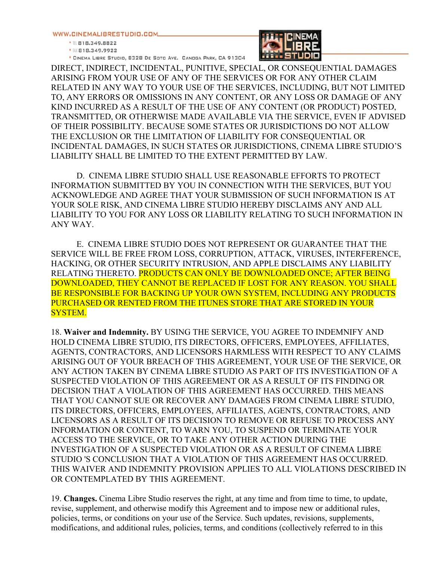· IL 818.349.8822 

\* CINEMA LIBRE STUDIO, 8328 DE SOTO AVE. CANOGA PARK, CA 91304



DIRECT, INDIRECT, INCIDENTAL, PUNITIVE, SPECIAL, OR CONSEQUENTIAL DAMAGES ARISING FROM YOUR USE OF ANY OF THE SERVICES OR FOR ANY OTHER CLAIM RELATED IN ANY WAY TO YOUR USE OF THE SERVICES, INCLUDING, BUT NOT LIMITED TO, ANY ERRORS OR OMISSIONS IN ANY CONTENT, OR ANY LOSS OR DAMAGE OF ANY KIND INCURRED AS A RESULT OF THE USE OF ANY CONTENT (OR PRODUCT) POSTED, TRANSMITTED, OR OTHERWISE MADE AVAILABLE VIA THE SERVICE, EVEN IF ADVISED OF THEIR POSSIBILITY. BECAUSE SOME STATES OR JURISDICTIONS DO NOT ALLOW THE EXCLUSION OR THE LIMITATION OF LIABILITY FOR CONSEQUENTIAL OR INCIDENTAL DAMAGES, IN SUCH STATES OR JURISDICTIONS, CINEMA LIBRE STUDIO'S LIABILITY SHALL BE LIMITED TO THE EXTENT PERMITTED BY LAW.

D. CINEMA LIBRE STUDIO SHALL USE REASONABLE EFFORTS TO PROTECT INFORMATION SUBMITTED BY YOU IN CONNECTION WITH THE SERVICES, BUT YOU ACKNOWLEDGE AND AGREE THAT YOUR SUBMISSION OF SUCH INFORMATION IS AT YOUR SOLE RISK, AND CINEMA LIBRE STUDIO HEREBY DISCLAIMS ANY AND ALL LIABILITY TO YOU FOR ANY LOSS OR LIABILITY RELATING TO SUCH INFORMATION IN ANY WAY.

E. CINEMA LIBRE STUDIO DOES NOT REPRESENT OR GUARANTEE THAT THE SERVICE WILL BE FREE FROM LOSS, CORRUPTION, ATTACK, VIRUSES, INTERFERENCE, HACKING, OR OTHER SECURITY INTRUSION, AND APPLE DISCLAIMS ANY LIABILITY RELATING THERETO. PRODUCTS CAN ONLY BE DOWNLOADED ONCE; AFTER BEING DOWNLOADED, THEY CANNOT BE REPLACED IF LOST FOR ANY REASON. YOU SHALL BE RESPONSIBLE FOR BACKING UP YOUR OWN SYSTEM, INCLUDING ANY PRODUCTS PURCHASED OR RENTED FROM THE ITUNES STORE THAT ARE STORED IN YOUR SYSTEM.

18. **Waiver and Indemnity.** BY USING THE SERVICE, YOU AGREE TO INDEMNIFY AND HOLD CINEMA LIBRE STUDIO, ITS DIRECTORS, OFFICERS, EMPLOYEES, AFFILIATES, AGENTS, CONTRACTORS, AND LICENSORS HARMLESS WITH RESPECT TO ANY CLAIMS ARISING OUT OF YOUR BREACH OF THIS AGREEMENT, YOUR USE OF THE SERVICE, OR ANY ACTION TAKEN BY CINEMA LIBRE STUDIO AS PART OF ITS INVESTIGATION OF A SUSPECTED VIOLATION OF THIS AGREEMENT OR AS A RESULT OF ITS FINDING OR DECISION THAT A VIOLATION OF THIS AGREEMENT HAS OCCURRED. THIS MEANS THAT YOU CANNOT SUE OR RECOVER ANY DAMAGES FROM CINEMA LIBRE STUDIO, ITS DIRECTORS, OFFICERS, EMPLOYEES, AFFILIATES, AGENTS, CONTRACTORS, AND LICENSORS AS A RESULT OF ITS DECISION TO REMOVE OR REFUSE TO PROCESS ANY INFORMATION OR CONTENT, TO WARN YOU, TO SUSPEND OR TERMINATE YOUR ACCESS TO THE SERVICE, OR TO TAKE ANY OTHER ACTION DURING THE INVESTIGATION OF A SUSPECTED VIOLATION OR AS A RESULT OF CINEMA LIBRE STUDIO 'S CONCLUSION THAT A VIOLATION OF THIS AGREEMENT HAS OCCURRED. THIS WAIVER AND INDEMNITY PROVISION APPLIES TO ALL VIOLATIONS DESCRIBED IN OR CONTEMPLATED BY THIS AGREEMENT.

19. **Changes.** Cinema Libre Studio reserves the right, at any time and from time to time, to update, revise, supplement, and otherwise modify this Agreement and to impose new or additional rules, policies, terms, or conditions on your use of the Service. Such updates, revisions, supplements, modifications, and additional rules, policies, terms, and conditions (collectively referred to in this